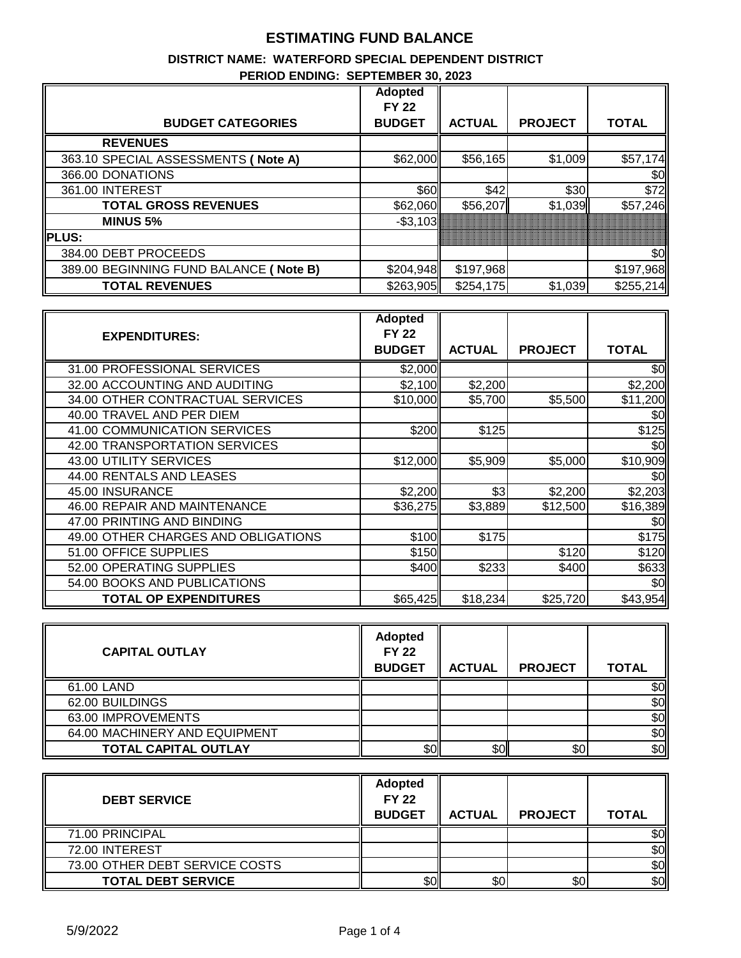# **ESTIMATING FUND BALANCE**

#### **DISTRICT NAME: WATERFORD SPECIAL DEPENDENT DISTRICT PERIOD ENDING: SEPTEMBER 30, 2023**

|                                        | <b>Adopted</b> |               |                |              |
|----------------------------------------|----------------|---------------|----------------|--------------|
|                                        | <b>FY 22</b>   |               |                |              |
| <b>BUDGET CATEGORIES</b>               | <b>BUDGET</b>  | <b>ACTUAL</b> | <b>PROJECT</b> | <b>TOTAL</b> |
| <b>REVENUES</b>                        |                |               |                |              |
| 363.10 SPECIAL ASSESSMENTS ( Note A)   | \$62,000       | \$56,165      | \$1,009        | \$57,174     |
| 366.00 DONATIONS                       |                |               |                | \$0          |
| 361.00 INTEREST                        | \$60I          | \$42          | \$30           | \$72         |
| <b>TOTAL GROSS REVENUES</b>            | \$62,060       | \$56,207      | \$1,039        | \$57,246     |
| <b>MINUS 5%</b>                        | $-$ \$3,103    |               |                |              |
| <b>PLUS:</b>                           |                |               |                |              |
| 384.00 DEBT PROCEEDS                   |                |               |                | \$0          |
| 389.00 BEGINNING FUND BALANCE (Note B) | \$204,948      | \$197,968     |                | \$197,968    |
| <b>TOTAL REVENUES</b>                  | \$263,905      | \$254,175     | \$1,039        | \$255,214    |

|                                     | <b>Adopted</b> |               |                |               |
|-------------------------------------|----------------|---------------|----------------|---------------|
| <b>EXPENDITURES:</b>                | <b>FY 22</b>   |               |                |               |
|                                     | <b>BUDGET</b>  | <b>ACTUAL</b> | <b>PROJECT</b> | <b>TOTAL</b>  |
| 31.00 PROFESSIONAL SERVICES         | \$2,000        |               |                | \$0           |
| 32.00 ACCOUNTING AND AUDITING       | \$2,100        | \$2,200       |                | \$2,200       |
| 34.00 OTHER CONTRACTUAL SERVICES    | \$10,000       | \$5,700       | \$5,500        | \$11,200      |
| 40.00 TRAVEL AND PER DIEM           |                |               |                | \$0           |
| 41.00 COMMUNICATION SERVICES        | \$200          | \$125         |                | \$125         |
| 42.00 TRANSPORTATION SERVICES       |                |               |                | $\frac{6}{3}$ |
| 43.00 UTILITY SERVICES              | \$12,000       | \$5,909       | \$5,000        | \$10,909      |
| 44.00 RENTALS AND LEASES            |                |               |                | \$0           |
| 45.00 INSURANCE                     | \$2,200        | \$3           | \$2,200        | \$2,203       |
| 46.00 REPAIR AND MAINTENANCE        | \$36,275       | \$3,889       | \$12,500       | \$16,389      |
| 47.00 PRINTING AND BINDING          |                |               |                | \$0           |
| 49.00 OTHER CHARGES AND OBLIGATIONS | \$100          | \$175         |                | \$175         |
| 51.00 OFFICE SUPPLIES               | \$150          |               | \$120          | \$120         |
| 52.00 OPERATING SUPPLIES            | \$400          | \$233         | \$400          | \$633         |
| 54.00 BOOKS AND PUBLICATIONS        |                |               |                | \$0           |
| <b>TOTAL OP EXPENDITURES</b>        | \$65,425       | \$18,234      | \$25,720       | \$43,954      |

| <b>CAPITAL OUTLAY</b>         | <b>Adopted</b><br><b>FY 22</b><br><b>BUDGET</b> | <b>ACTUAL</b> | <b>PROJECT</b> | <b>TOTAL</b>     |
|-------------------------------|-------------------------------------------------|---------------|----------------|------------------|
| 61.00 LAND                    |                                                 |               |                | \$Oll            |
| 62.00 BUILDINGS               |                                                 |               |                | \$0 <sub>1</sub> |
| 63.00 IMPROVEMENTS            |                                                 |               |                | \$0              |
| 64.00 MACHINERY AND EQUIPMENT |                                                 |               |                | \$0 <sub>l</sub> |
| <b>TOTAL CAPITAL OUTLAY</b>   | \$0                                             | \$0           | \$0            | \$0              |

| <b>DEBT SERVICE</b>            | <b>Adopted</b><br><b>FY 22</b><br><b>BUDGET</b> | <b>ACTUAL</b> | <b>PROJECT</b> | <b>TOTAL</b> |
|--------------------------------|-------------------------------------------------|---------------|----------------|--------------|
| 71.00 PRINCIPAL                |                                                 |               |                | \$0          |
| 72.00 INTEREST                 |                                                 |               |                | \$0          |
| 73.00 OTHER DEBT SERVICE COSTS |                                                 |               |                | \$0          |
| <b>TOTAL DEBT SERVICE</b>      | \$0.                                            | \$0           | \$0            | \$0          |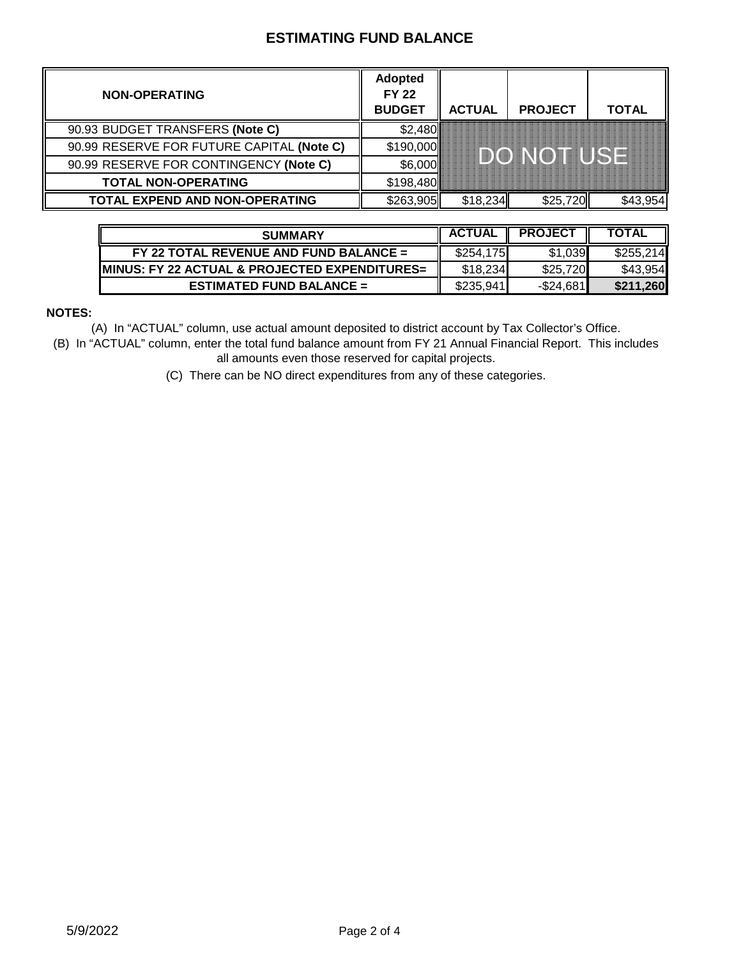## **ESTIMATING FUND BALANCE**

| <b>NON-OPERATING</b>                      | <b>Adopted</b><br><b>FY 22</b><br><b>BUDGET</b> | <b>ACTUAL</b> | <b>PROJECT</b>       | TOTAL |
|-------------------------------------------|-------------------------------------------------|---------------|----------------------|-------|
| 90.93 BUDGET TRANSFERS (Note C)           | \$2,480                                         |               |                      |       |
| 90.99 RESERVE FOR FUTURE CAPITAL (Note C) | \$190,000                                       |               |                      |       |
| 90.99 RESERVE FOR CONTINGENCY (Note C)    | \$6,000                                         |               | <u>hinoxento kom</u> |       |
| <b>TOTAL NON-OPERATING</b>                | \$198,480                                       |               |                      |       |
| <b>TOTAL EXPEND AND NON-OPERATING</b>     | \$263,905                                       | \$18,234      |                      |       |

| <b>SUMMARY</b>                                 | <b>ACTUAL</b> | <b>PROJECT</b> | <b>TOTAL</b> |
|------------------------------------------------|---------------|----------------|--------------|
| $FY$ 22 TOTAL REVENUE AND FUND BALANCE =       | \$254,175     | \$1,039        | \$255.214    |
| IMINUS: FY 22 ACTUAL & PROJECTED EXPENDITURES= | \$18,234      | \$25.720       | \$43,954     |
| ESTIMATED FUND BALANCE $=$                     | \$235.941     | -\$24.681∎     | \$211,260    |

### **NOTES:**

(A) In "ACTUAL" column, use actual amount deposited to district account by Tax Collector's Office.

(B) In "ACTUAL" column, enter the total fund balance amount from FY 21 Annual Financial Report. This includes all amounts even those reserved for capital projects.

(C) There can be NO direct expenditures from any of these categories.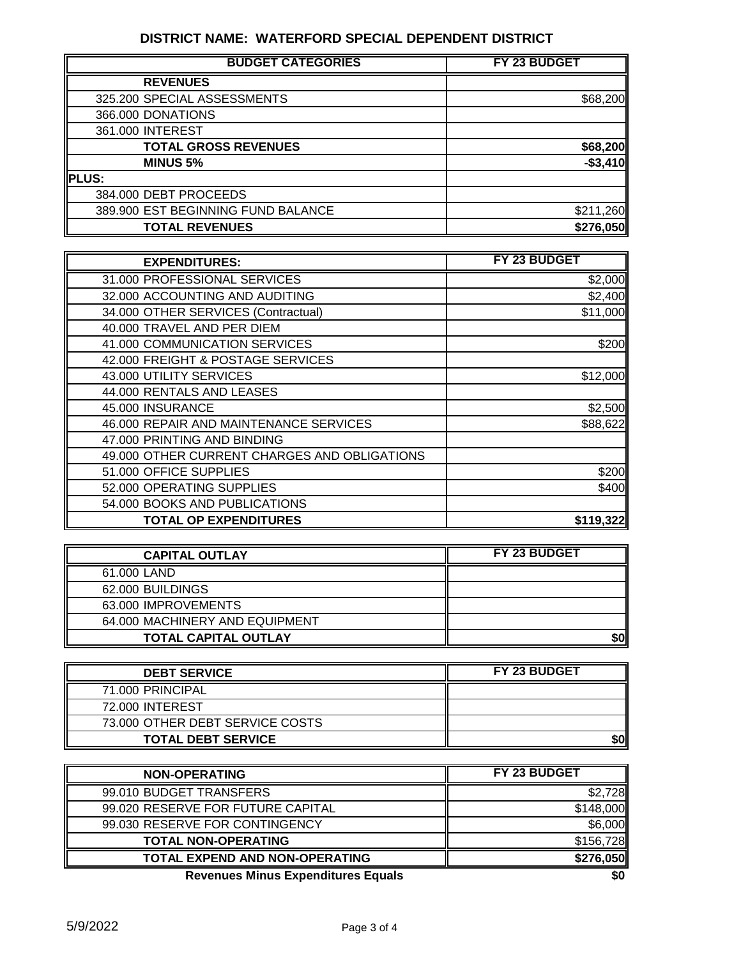## **DISTRICT NAME: WATERFORD SPECIAL DEPENDENT DISTRICT**

| <b>BUDGET CATEGORIES</b>           | FY 23 BUDGET |
|------------------------------------|--------------|
| <b>REVENUES</b>                    |              |
| 325.200 SPECIAL ASSESSMENTS        | \$68,200     |
| 366.000 DONATIONS                  |              |
| 361.000 INTEREST                   |              |
| <b>TOTAL GROSS REVENUES</b>        | \$68,200     |
| <b>MINUS 5%</b>                    | $-$3,410$    |
| <b>PLUS:</b>                       |              |
| 384.000 DEBT PROCEEDS              |              |
| 389.900 EST BEGINNING FUND BALANCE | \$211,260    |
| <b>TOTAL REVENUES</b>              | \$276,050    |

| <b>EXPENDITURES:</b>                         | FY 23 BUDGET |
|----------------------------------------------|--------------|
| 31.000 PROFESSIONAL SERVICES                 | \$2,000      |
| 32.000 ACCOUNTING AND AUDITING               | \$2,400      |
| 34.000 OTHER SERVICES (Contractual)          | \$11,000     |
| 40.000 TRAVEL AND PER DIEM                   |              |
| 41.000 COMMUNICATION SERVICES                | \$200        |
| 42.000 FREIGHT & POSTAGE SERVICES            |              |
| 43.000 UTILITY SERVICES                      | \$12,000     |
| 44.000 RENTALS AND LEASES                    |              |
| 45.000 INSURANCE                             | \$2,500      |
| 46.000 REPAIR AND MAINTENANCE SERVICES       | \$88,622     |
| 47.000 PRINTING AND BINDING                  |              |
| 49.000 OTHER CURRENT CHARGES AND OBLIGATIONS |              |
| 51.000 OFFICE SUPPLIES                       | \$200        |
| 52.000 OPERATING SUPPLIES                    | \$400        |
| 54.000 BOOKS AND PUBLICATIONS                |              |
| <b>TOTAL OP EXPENDITURES</b>                 | \$119,322    |

| <b>CAPITAL OUTLAY</b>          | FY 23 BUDGET |
|--------------------------------|--------------|
| 61.000 LAND                    |              |
| 62.000 BUILDINGS               |              |
| 63.000 IMPROVEMENTS            |              |
| 64.000 MACHINERY AND EQUIPMENT |              |
| <b>TOTAL CAPITAL OUTLAY</b>    | 50           |

| <b>DEBT SERVICE</b>             | <b>FY 23 BUDGET</b> |
|---------------------------------|---------------------|
| 71.000 PRINCIPAL                |                     |
| 72.000 INTEREST                 |                     |
| 73.000 OTHER DEBT SERVICE COSTS |                     |
| <b>TOTAL DEBT SERVICE</b>       | \$0                 |

| <b>NON-OPERATING</b>                      | FY 23 BUDGET |
|-------------------------------------------|--------------|
| 99.010 BUDGET TRANSFERS                   | \$2,728      |
| 99.020 RESERVE FOR FUTURE CAPITAL         | \$148,000    |
| 99.030 RESERVE FOR CONTINGENCY            | \$6,000      |
| <b>TOTAL NON-OPERATING</b>                | \$156,728    |
| <b>TOTAL EXPEND AND NON-OPERATING</b>     | \$276,050    |
| <b>Dovenues Minus Expenditures Equals</b> | ¢Λ           |

**Revenues Minus Expenditures Equals \$0**